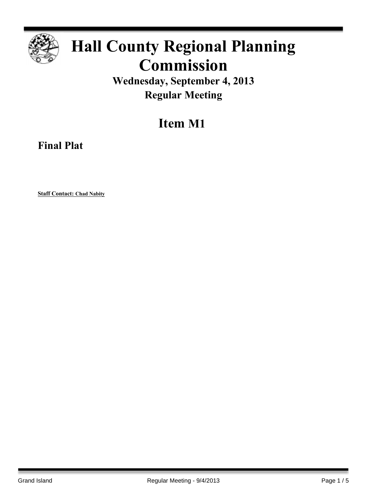

# **Hall County Regional Planning Commission**

### **Wednesday, September 4, 2013 Regular Meeting**

## **Item M1**

**Final Plat**

**Staff Contact: Chad Nabity**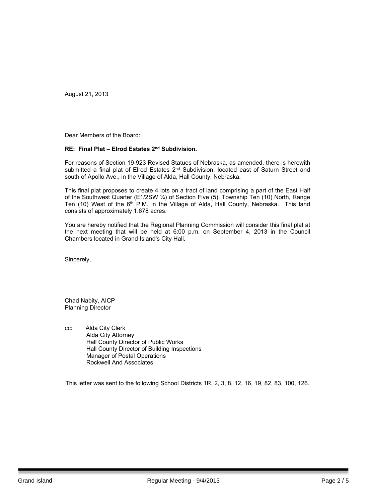August 21, 2013

Dear Members of the Board:

#### **RE: Final Plat – Elrod Estates 2 nd Subdivision.**

For reasons of Section 19-923 Revised Statues of Nebraska, as amended, there is herewith submitted a final plat of Elrod Estates 2<sup>nd</sup> Subdivision, located east of Saturn Street and south of Apollo Ave., in the Village of Alda, Hall County, Nebraska.

This final plat proposes to create 4 lots on a tract of land comprising a part of the East Half of the Southwest Quarter (E1/2SW ¼) of Section Five (5), Township Ten (10) North, Range Ten (10) West of the 6<sup>th</sup> P.M. in the Village of Alda, Hall County, Nebraska. This land consists of approximately 1.678 acres.

You are hereby notified that the Regional Planning Commission will consider this final plat at the next meeting that will be held at 6:00 p.m. on September 4, 2013 in the Council Chambers located in Grand Island's City Hall.

Sincerely,

Chad Nabity, AICP Planning Director

cc: Alda City Clerk Alda City Attorney Hall County Director of Public Works Hall County Director of Building Inspections Manager of Postal Operations Rockwell And Associates

This letter was sent to the following School Districts 1R, 2, 3, 8, 12, 16, 19, 82, 83, 100, 126.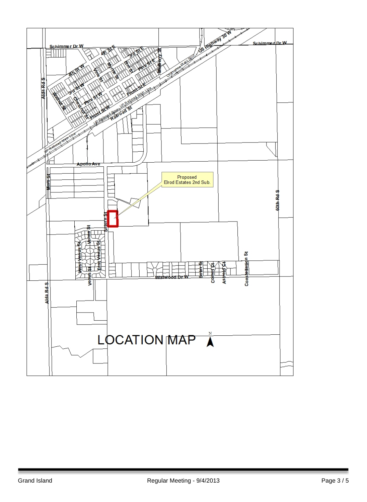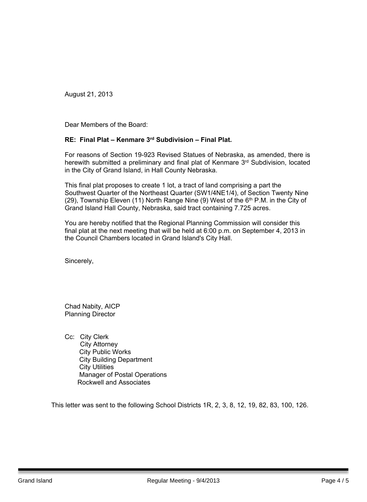August 21, 2013

Dear Members of the Board:

### **RE: Final Plat – Kenmare 3 rd Subdivision – Final Plat.**

For reasons of Section 19-923 Revised Statues of Nebraska, as amended, there is herewith submitted a preliminary and final plat of Kenmare 3<sup>rd</sup> Subdivision, located in the City of Grand Island, in Hall County Nebraska.

This final plat proposes to create 1 lot, a tract of land comprising a part the Southwest Quarter of the Northeast Quarter (SW1/4NE1/4), of Section Twenty Nine (29), Township Eleven (11) North Range Nine (9) West of the  $6<sup>th</sup>$  P.M. in the City of Grand Island Hall County, Nebraska, said tract containing 7.725 acres.

You are hereby notified that the Regional Planning Commission will consider this final plat at the next meeting that will be held at 6:00 p.m. on September 4, 2013 in the Council Chambers located in Grand Island's City Hall.

Sincerely,

Chad Nabity, AICP Planning Director

Cc: City Clerk City Attorney City Public Works City Building Department City Utilities Manager of Postal Operations Rockwell and Associates

This letter was sent to the following School Districts 1R, 2, 3, 8, 12, 19, 82, 83, 100, 126.